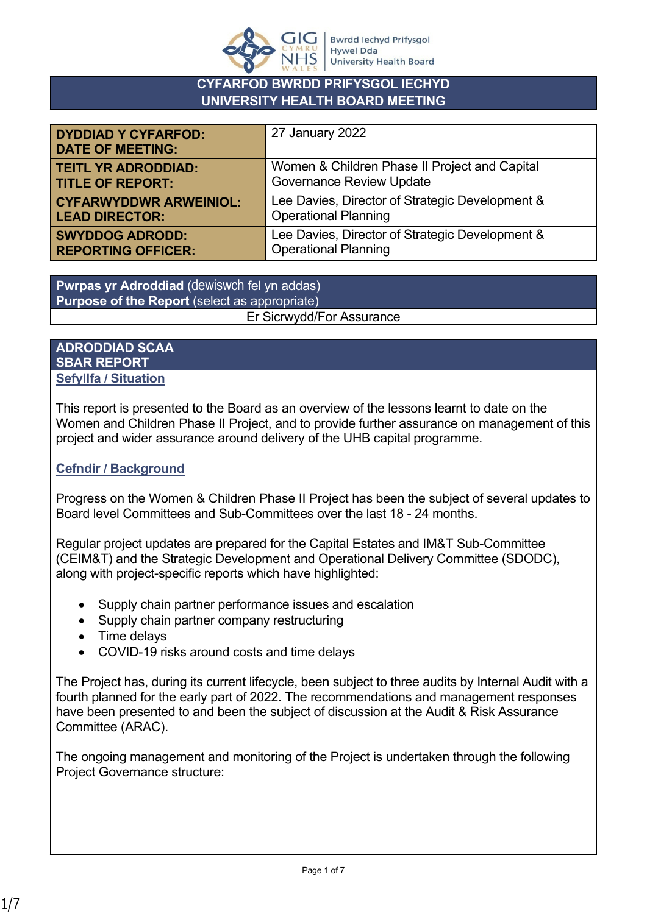

## **CYFARFOD BWRDD PRIFYSGOL IECHYD UNIVERSITY HEALTH BOARD MEETING**

| <b>DYDDIAD Y CYFARFOD:</b><br><b>DATE OF MEETING:</b> | 27 January 2022                                 |
|-------------------------------------------------------|-------------------------------------------------|
| <b>TEITL YR ADRODDIAD:</b>                            | Women & Children Phase II Project and Capital   |
| <b>TITLE OF REPORT:</b>                               | <b>Governance Review Update</b>                 |
| <b>CYFARWYDDWR ARWEINIOL:</b>                         | Lee Davies, Director of Strategic Development & |
| <b>LEAD DIRECTOR:</b>                                 | <b>Operational Planning</b>                     |
| <b>SWYDDOG ADRODD:</b>                                | Lee Davies, Director of Strategic Development & |
| <b>REPORTING OFFICER:</b>                             | <b>Operational Planning</b>                     |

**Pwrpas yr Adroddiad** (dewiswch fel yn addas) **Purpose of the Report** (select as appropriate) Er Sicrwydd/For Assurance

#### **ADRODDIAD SCAA SBAR REPORT Sefyllfa / Situation**

This report is presented to the Board as an overview of the lessons learnt to date on the Women and Children Phase II Project, and to provide further assurance on management of this project and wider assurance around delivery of the UHB capital programme.

## **Cefndir / Background**

Progress on the Women & Children Phase II Project has been the subject of several updates to Board level Committees and Sub-Committees over the last 18 - 24 months.

Regular project updates are prepared for the Capital Estates and IM&T Sub-Committee (CEIM&T) and the Strategic Development and Operational Delivery Committee (SDODC), along with project-specific reports which have highlighted:

- Supply chain partner performance issues and escalation
- Supply chain partner company restructuring
- Time delays
- COVID-19 risks around costs and time delays

The Project has, during its current lifecycle, been subject to three audits by Internal Audit with a fourth planned for the early part of 2022. The recommendations and management responses have been presented to and been the subject of discussion at the Audit & Risk Assurance Committee (ARAC).

The ongoing management and monitoring of the Project is undertaken through the following Project Governance structure: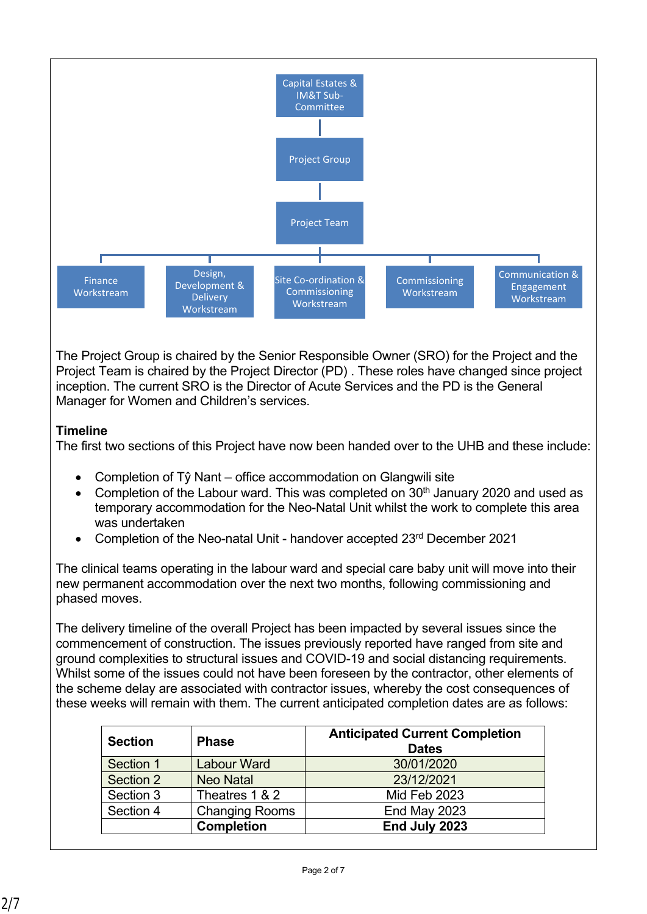

The Project Group is chaired by the Senior Responsible Owner (SRO) for the Project and the Project Team is chaired by the Project Director (PD) . These roles have changed since project inception. The current SRO is the Director of Acute Services and the PD is the General Manager for Women and Children's services.

# **Timeline**

The first two sections of this Project have now been handed over to the UHB and these include:

- Completion of Tŷ Nant office accommodation on Glangwili site
- Completion of the Labour ward. This was completed on  $30<sup>th</sup>$  January 2020 and used as temporary accommodation for the Neo-Natal Unit whilst the work to complete this area was undertaken
- Completion of the Neo-natal Unit handover accepted 23rd December 2021

The clinical teams operating in the labour ward and special care baby unit will move into their new permanent accommodation over the next two months, following commissioning and phased moves.

The delivery timeline of the overall Project has been impacted by several issues since the commencement of construction. The issues previously reported have ranged from site and ground complexities to structural issues and COVID-19 and social distancing requirements. Whilst some of the issues could not have been foreseen by the contractor, other elements of the scheme delay are associated with contractor issues, whereby the cost consequences of these weeks will remain with them. The current anticipated completion dates are as follows:

| <b>Section</b> | <b>Phase</b>          | <b>Anticipated Current Completion</b><br><b>Dates</b> |  |  |  |
|----------------|-----------------------|-------------------------------------------------------|--|--|--|
| Section 1      | Labour Ward           | 30/01/2020                                            |  |  |  |
| Section 2      | <b>Neo Natal</b>      | 23/12/2021                                            |  |  |  |
| Section 3      | Theatres 1 & 2        | Mid Feb 2023                                          |  |  |  |
| Section 4      | <b>Changing Rooms</b> | End May 2023                                          |  |  |  |
|                | <b>Completion</b>     | End July 2023                                         |  |  |  |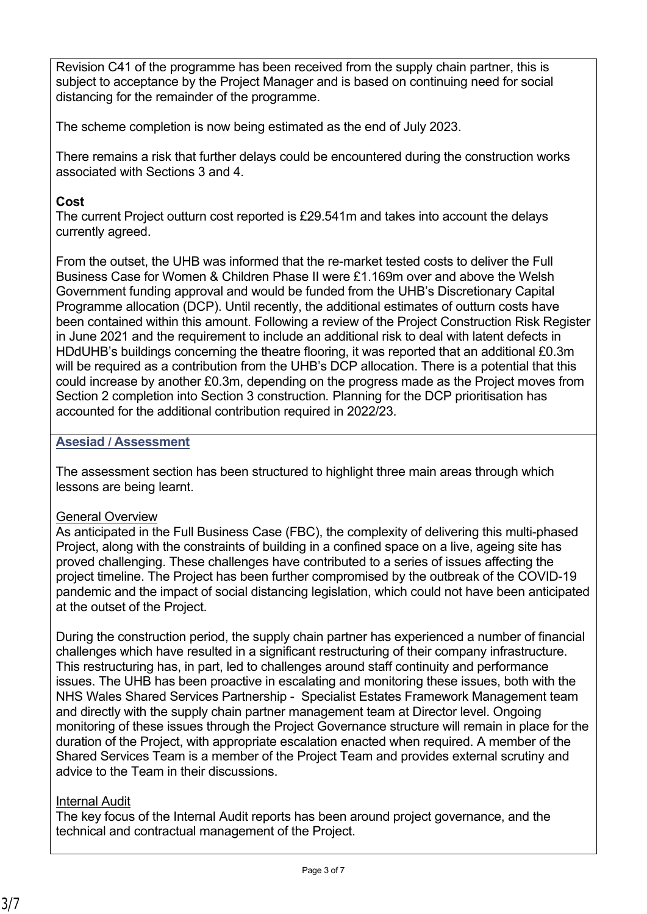Revision C41 of the programme has been received from the supply chain partner, this is subject to acceptance by the Project Manager and is based on continuing need for social distancing for the remainder of the programme.

The scheme completion is now being estimated as the end of July 2023.

There remains a risk that further delays could be encountered during the construction works associated with Sections 3 and 4.

## **Cost**

The current Project outturn cost reported is £29.541m and takes into account the delays currently agreed.

From the outset, the UHB was informed that the re-market tested costs to deliver the Full Business Case for Women & Children Phase II were £1.169m over and above the Welsh Government funding approval and would be funded from the UHB's Discretionary Capital Programme allocation (DCP). Until recently, the additional estimates of outturn costs have been contained within this amount. Following a review of the Project Construction Risk Register in June 2021 and the requirement to include an additional risk to deal with latent defects in HDdUHB's buildings concerning the theatre flooring, it was reported that an additional £0.3m will be required as a contribution from the UHB's DCP allocation. There is a potential that this could increase by another £0.3m, depending on the progress made as the Project moves from Section 2 completion into Section 3 construction*.* Planning for the DCP prioritisation has accounted for the additional contribution required in 2022/23.

## **Asesiad / Assessment**

The assessment section has been structured to highlight three main areas through which lessons are being learnt.

## General Overview

As anticipated in the Full Business Case (FBC), the complexity of delivering this multi-phased Project, along with the constraints of building in a confined space on a live, ageing site has proved challenging. These challenges have contributed to a series of issues affecting the project timeline. The Project has been further compromised by the outbreak of the COVID-19 pandemic and the impact of social distancing legislation, which could not have been anticipated at the outset of the Project.

During the construction period, the supply chain partner has experienced a number of financial challenges which have resulted in a significant restructuring of their company infrastructure. This restructuring has, in part, led to challenges around staff continuity and performance issues. The UHB has been proactive in escalating and monitoring these issues, both with the NHS Wales Shared Services Partnership - Specialist Estates Framework Management team and directly with the supply chain partner management team at Director level. Ongoing monitoring of these issues through the Project Governance structure will remain in place for the duration of the Project, with appropriate escalation enacted when required. A member of the Shared Services Team is a member of the Project Team and provides external scrutiny and advice to the Team in their discussions.

## Internal Audit

The key focus of the Internal Audit reports has been around project governance, and the technical and contractual management of the Project.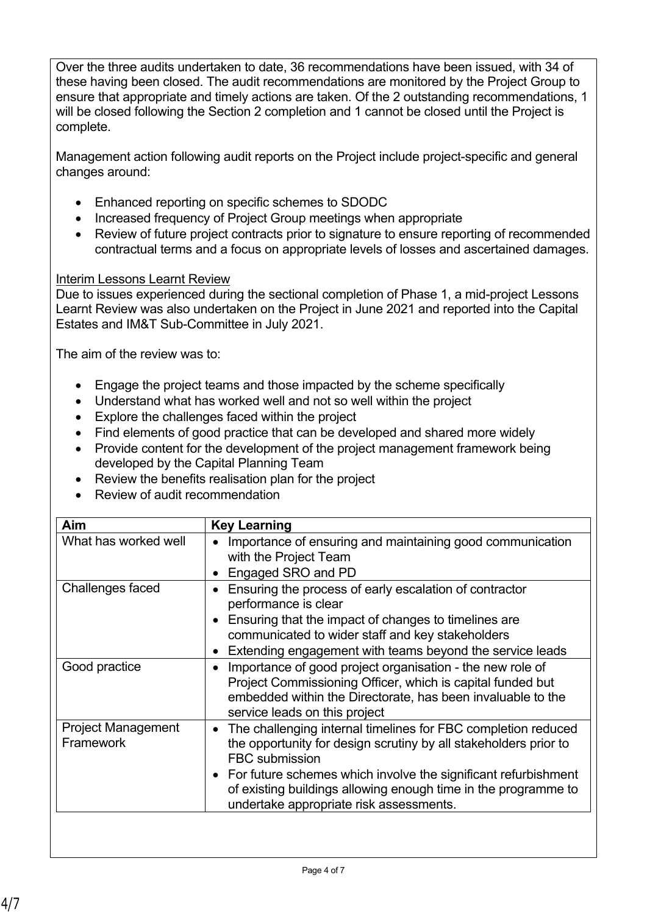Over the three audits undertaken to date, 36 recommendations have been issued, with 34 of these having been closed. The audit recommendations are monitored by the Project Group to ensure that appropriate and timely actions are taken. Of the 2 outstanding recommendations, 1 will be closed following the Section 2 completion and 1 cannot be closed until the Project is complete.

Management action following audit reports on the Project include project-specific and general changes around:

- Enhanced reporting on specific schemes to SDODC
- Increased frequency of Project Group meetings when appropriate
- Review of future project contracts prior to signature to ensure reporting of recommended contractual terms and a focus on appropriate levels of losses and ascertained damages.

# Interim Lessons Learnt Review

Due to issues experienced during the sectional completion of Phase 1, a mid-project Lessons Learnt Review was also undertaken on the Project in June 2021 and reported into the Capital Estates and IM&T Sub-Committee in July 2021.

The aim of the review was to:

- Engage the project teams and those impacted by the scheme specifically
- Understand what has worked well and not so well within the project
- Explore the challenges faced within the project
- Find elements of good practice that can be developed and shared more widely
- Provide content for the development of the project management framework being developed by the Capital Planning Team
- Review the benefits realisation plan for the project
- Review of audit recommendation

| Aim                                    | <b>Key Learning</b>                                                                                                                                                                                                                                                                                                                                      |
|----------------------------------------|----------------------------------------------------------------------------------------------------------------------------------------------------------------------------------------------------------------------------------------------------------------------------------------------------------------------------------------------------------|
| What has worked well                   | Importance of ensuring and maintaining good communication<br>$\bullet$<br>with the Project Team<br>Engaged SRO and PD<br>$\bullet$                                                                                                                                                                                                                       |
| Challenges faced                       | Ensuring the process of early escalation of contractor<br>$\bullet$<br>performance is clear<br>Ensuring that the impact of changes to timelines are<br>$\bullet$<br>communicated to wider staff and key stakeholders<br>Extending engagement with teams beyond the service leads<br>$\bullet$                                                            |
| Good practice                          | Importance of good project organisation - the new role of<br>$\bullet$<br>Project Commissioning Officer, which is capital funded but<br>embedded within the Directorate, has been invaluable to the<br>service leads on this project                                                                                                                     |
| <b>Project Management</b><br>Framework | The challenging internal timelines for FBC completion reduced<br>$\bullet$<br>the opportunity for design scrutiny by all stakeholders prior to<br><b>FBC</b> submission<br>• For future schemes which involve the significant refurbishment<br>of existing buildings allowing enough time in the programme to<br>undertake appropriate risk assessments. |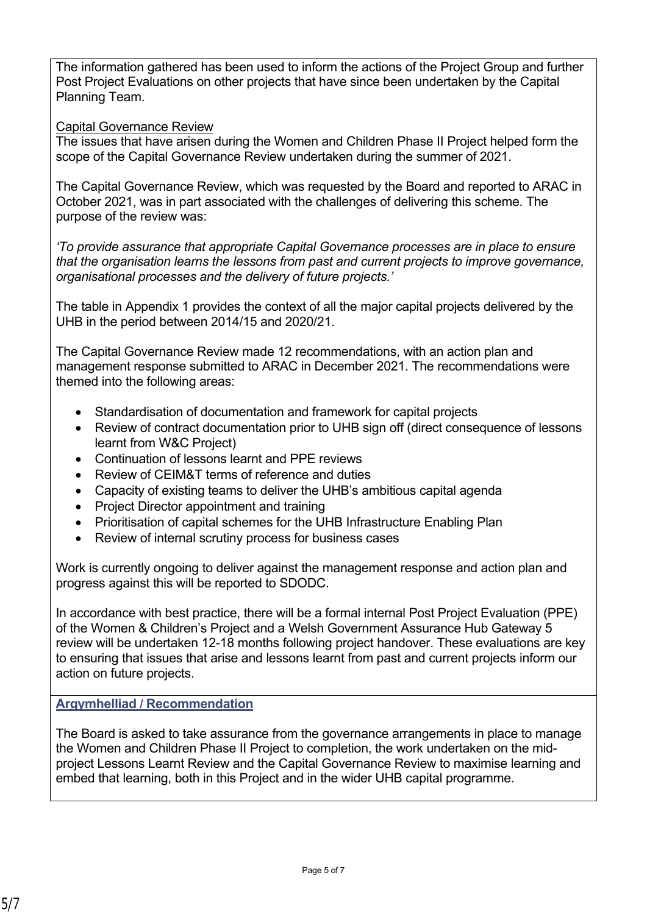The information gathered has been used to inform the actions of the Project Group and further Post Project Evaluations on other projects that have since been undertaken by the Capital Planning Team.

#### Capital Governance Review

The issues that have arisen during the Women and Children Phase II Project helped form the scope of the Capital Governance Review undertaken during the summer of 2021.

The Capital Governance Review, which was requested by the Board and reported to ARAC in October 2021, was in part associated with the challenges of delivering this scheme. The purpose of the review was:

*'To provide assurance that appropriate Capital Governance processes are in place to ensure that the organisation learns the lessons from past and current projects to improve governance, organisational processes and the delivery of future projects.'*

The table in Appendix 1 provides the context of all the major capital projects delivered by the UHB in the period between 2014/15 and 2020/21.

The Capital Governance Review made 12 recommendations, with an action plan and management response submitted to ARAC in December 2021. The recommendations were themed into the following areas:

- Standardisation of documentation and framework for capital projects
- Review of contract documentation prior to UHB sign off (direct consequence of lessons learnt from W&C Project)
- Continuation of lessons learnt and PPE reviews
- Review of CEIM&T terms of reference and duties
- Capacity of existing teams to deliver the UHB's ambitious capital agenda
- Project Director appointment and training
- Prioritisation of capital schemes for the UHB Infrastructure Enabling Plan
- Review of internal scrutiny process for business cases

Work is currently ongoing to deliver against the management response and action plan and progress against this will be reported to SDODC.

In accordance with best practice, there will be a formal internal Post Project Evaluation (PPE) of the Women & Children's Project and a Welsh Government Assurance Hub Gateway 5 review will be undertaken 12-18 months following project handover. These evaluations are key to ensuring that issues that arise and lessons learnt from past and current projects inform our action on future projects.

#### **Argymhelliad / Recommendation**

The Board is asked to take assurance from the governance arrangements in place to manage the Women and Children Phase II Project to completion, the work undertaken on the midproject Lessons Learnt Review and the Capital Governance Review to maximise learning and embed that learning, both in this Project and in the wider UHB capital programme.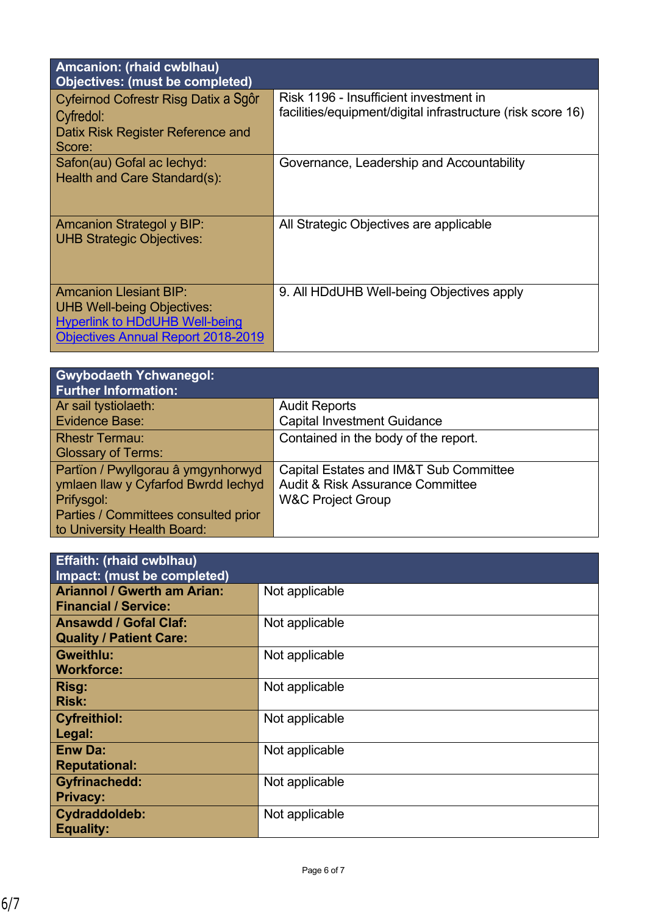| Amcanion: (rhaid cwblhau)<br><b>Objectives: (must be completed)</b>                                                                                      |                                                                                                       |
|----------------------------------------------------------------------------------------------------------------------------------------------------------|-------------------------------------------------------------------------------------------------------|
| Cyfeirnod Cofrestr Risg Datix a Sgôr<br>Cyfredol:<br>Datix Risk Register Reference and<br>Score:                                                         | Risk 1196 - Insufficient investment in<br>facilities/equipment/digital infrastructure (risk score 16) |
| Safon(au) Gofal ac lechyd:<br>Health and Care Standard(s):                                                                                               | Governance, Leadership and Accountability                                                             |
| <b>Amcanion Strategol y BIP:</b><br><b>UHB Strategic Objectives:</b>                                                                                     | All Strategic Objectives are applicable                                                               |
| <b>Amcanion Llesiant BIP:</b><br><b>UHB Well-being Objectives:</b><br><b>Hyperlink to HDdUHB Well-being</b><br><b>Objectives Annual Report 2018-2019</b> | 9. All HDdUHB Well-being Objectives apply                                                             |

| <b>Gwybodaeth Ychwanegol:</b><br><b>Further Information:</b> |                                             |
|--------------------------------------------------------------|---------------------------------------------|
| Ar sail tystiolaeth:                                         | <b>Audit Reports</b>                        |
| Evidence Base:                                               | <b>Capital Investment Guidance</b>          |
| <b>Rhestr Termau:</b>                                        | Contained in the body of the report.        |
| <b>Glossary of Terms:</b>                                    |                                             |
| Partïon / Pwyllgorau â ymgynhorwyd                           | Capital Estates and IM&T Sub Committee      |
| ymlaen llaw y Cyfarfod Bwrdd Iechyd                          | <b>Audit &amp; Risk Assurance Committee</b> |
| Prifysgol:                                                   | <b>W&amp;C Project Group</b>                |
| Parties / Committees consulted prior                         |                                             |
| to University Health Board:                                  |                                             |

| <b>Effaith: (rhaid cwblhau)</b>    |                |  |
|------------------------------------|----------------|--|
| Impact: (must be completed)        |                |  |
| <b>Ariannol / Gwerth am Arian:</b> |                |  |
|                                    | Not applicable |  |
| <b>Financial / Service:</b>        |                |  |
| <b>Ansawdd / Gofal Claf:</b>       | Not applicable |  |
| <b>Quality / Patient Care:</b>     |                |  |
|                                    |                |  |
| <b>Gweithlu:</b>                   | Not applicable |  |
| <b>Workforce:</b>                  |                |  |
| Risg:                              | Not applicable |  |
| <b>Risk:</b>                       |                |  |
|                                    |                |  |
| <b>Cyfreithiol:</b>                | Not applicable |  |
| Legal:                             |                |  |
| <b>Enw Da:</b>                     | Not applicable |  |
| <b>Reputational:</b>               |                |  |
|                                    |                |  |
| <b>Gyfrinachedd:</b>               | Not applicable |  |
| <b>Privacy:</b>                    |                |  |
| Cydraddoldeb:                      | Not applicable |  |
|                                    |                |  |
| <b>Equality:</b>                   |                |  |